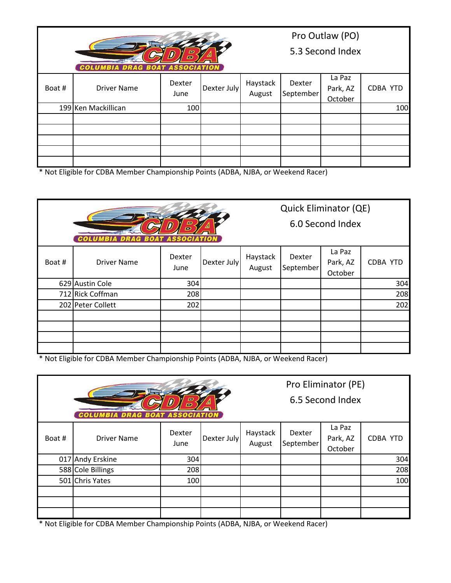|        | <b>COLUMBIA DRAG BOAT ASSOCIATION</b> |                |             | Pro Outlaw (PO)<br>5.3 Second Index |                     |                               |          |
|--------|---------------------------------------|----------------|-------------|-------------------------------------|---------------------|-------------------------------|----------|
| Boat # | Driver Name                           | Dexter<br>June | Dexter July | Haystack<br>August                  | Dexter<br>September | La Paz<br>Park, AZ<br>October | CDBA YTD |
|        | 199 Ken Mackillican                   | 100            |             |                                     |                     |                               | 100      |
|        |                                       |                |             |                                     |                     |                               |          |
|        |                                       |                |             |                                     |                     |                               |          |
|        |                                       |                |             |                                     |                     |                               |          |
|        |                                       |                |             |                                     |                     |                               |          |

\* Not Eligible for CDBA Member Championship Points (ADBA, NJBA, or Weekend Racer)

|        |                                       | Quick Eliminator (QE) |             |          |                  |          |                 |  |
|--------|---------------------------------------|-----------------------|-------------|----------|------------------|----------|-----------------|--|
| E<br>E |                                       |                       |             |          | 6.0 Second Index |          |                 |  |
|        | <b>COLUMBIA DRAG BOAT ASSOCIATION</b> |                       |             |          |                  |          |                 |  |
|        |                                       | Dexter                |             | Haystack | Dexter           | La Paz   |                 |  |
| Boat#  | <b>Driver Name</b>                    | June                  | Dexter July | August   | September        | Park, AZ | <b>CDBA YTD</b> |  |
|        |                                       |                       |             |          |                  | October  |                 |  |
|        | 629 Austin Cole                       | 304                   |             |          |                  |          | 304             |  |
|        | 712 Rick Coffman                      | 208                   |             |          |                  |          | 208             |  |
|        | 202 Peter Collett                     | 202                   |             |          |                  |          | 202             |  |
|        |                                       |                       |             |          |                  |          |                 |  |
|        |                                       |                       |             |          |                  |          |                 |  |
|        |                                       |                       |             |          |                  |          |                 |  |
|        |                                       |                       |             |          |                  |          |                 |  |

\* Not Eligible for CDBA Member Championship Points (ADBA, NJBA, or Weekend Racer)

|       |                                       |                |                  |                    |                     | Pro Eliminator (PE)           |                 |
|-------|---------------------------------------|----------------|------------------|--------------------|---------------------|-------------------------------|-----------------|
|       | <b>COLUMBIA DRAG BOAT ASSOCIATION</b> | E<br>E         | 6.5 Second Index |                    |                     |                               |                 |
| Boat# | <b>Driver Name</b>                    | Dexter<br>June | Dexter July      | Haystack<br>August | Dexter<br>September | La Paz<br>Park, AZ<br>October | <b>CDBA YTD</b> |
|       | 017 Andy Erskine                      | 304            |                  |                    |                     |                               | 304             |
|       | 588 Cole Billings                     | 208            |                  |                    |                     |                               | 208             |
|       | 501 Chris Yates                       | 100            |                  |                    |                     |                               | 100             |
|       |                                       |                |                  |                    |                     |                               |                 |
|       |                                       |                |                  |                    |                     |                               |                 |
|       |                                       |                |                  |                    |                     |                               |                 |

\* Not Eligible for CDBA Member Championship Points (ADBA, NJBA, or Weekend Racer)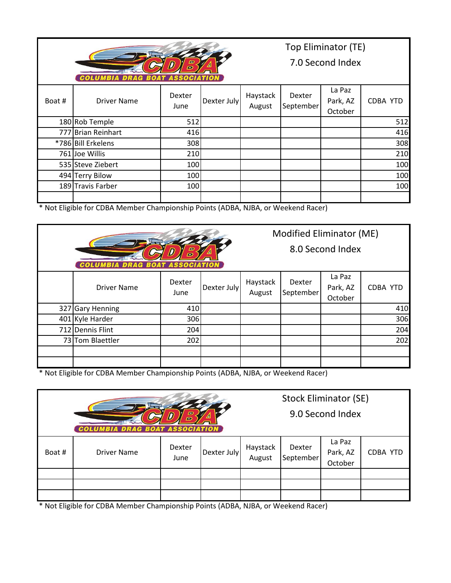|                                                 |                    | Top Eliminator (TE) |             |                    |                     |                               |                 |  |
|-------------------------------------------------|--------------------|---------------------|-------------|--------------------|---------------------|-------------------------------|-----------------|--|
| E<br>E<br><b>COLUMBIA DRAG BOAT ASSOCIATION</b> |                    |                     |             |                    | 7.0 Second Index    |                               |                 |  |
| Boat #                                          | <b>Driver Name</b> | Dexter<br>June      | Dexter July | Haystack<br>August | Dexter<br>September | La Paz<br>Park, AZ<br>October | <b>CDBA YTD</b> |  |
|                                                 | 180 Rob Temple     | 512                 |             |                    |                     |                               | 512             |  |
|                                                 | 777 Brian Reinhart | 416                 |             |                    |                     |                               | 416             |  |
|                                                 | *786 Bill Erkelens | 308                 |             |                    |                     |                               | 308             |  |
|                                                 | 761 Joe Willis     | 210                 |             |                    |                     |                               | 210             |  |
|                                                 | 535 Steve Ziebert  | 100                 |             |                    |                     |                               | 100             |  |
|                                                 | 494 Terry Bilow    | 100                 |             |                    |                     |                               | 100             |  |
|                                                 | 189 Travis Farber  | 100                 |             |                    |                     |                               | 100             |  |
|                                                 |                    |                     |             |                    |                     |                               |                 |  |

\* Not Eligible for CDBA Member Championship Points (ADBA, NJBA, or Weekend Racer)

| E<br><b>COLUMBIA DRAG BOAT ASSOCIATION</b> |                     |                |             |                    | Modified Eliminator (ME) | 8.0 Second Index              |                 |
|--------------------------------------------|---------------------|----------------|-------------|--------------------|--------------------------|-------------------------------|-----------------|
|                                            | <b>Driver Name</b>  | Dexter<br>June | Dexter July | Haystack<br>August | Dexter<br>September      | La Paz<br>Park, AZ<br>October | <b>CDBA YTD</b> |
| 327                                        | <b>Gary Henning</b> | 410            |             |                    |                          |                               | 410             |
|                                            | 401 Kyle Harder     | 306            |             |                    |                          |                               | 306             |
|                                            | 712 Dennis Flint    | 204            |             |                    |                          |                               | 204             |
|                                            | 73 Tom Blaettler    | 202            |             |                    |                          |                               | 202             |
|                                            |                     |                |             |                    |                          |                               |                 |
|                                            |                     |                |             |                    |                          |                               |                 |

\* Not Eligible for CDBA Member Championship Points (ADBA, NJBA, or Weekend Racer)

|       | <b>COLUMBIA DRAG BOAT ASSOCIATION</b> |                | Stock Eliminator (SE) | 9.0 Second Index   |                     |                               |          |
|-------|---------------------------------------|----------------|-----------------------|--------------------|---------------------|-------------------------------|----------|
| Boat# | <b>Driver Name</b>                    | Dexter<br>June | Dexter July           | Haystack<br>August | Dexter<br>September | La Paz<br>Park, AZ<br>October | CDBA YTD |
|       |                                       |                |                       |                    |                     |                               |          |
|       |                                       |                |                       |                    |                     |                               |          |
|       |                                       |                |                       |                    |                     |                               |          |

\* Not Eligible for CDBA Member Championship Points (ADBA, NJBA, or Weekend Racer)